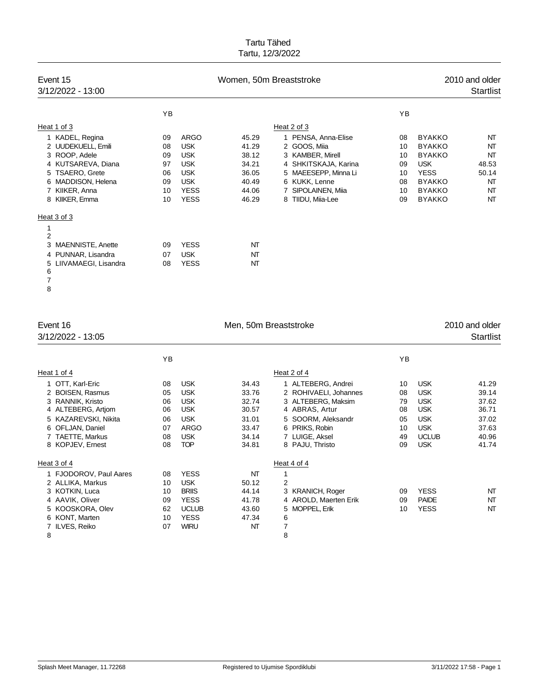| Event 15<br>3/12/2022 - 13:00                         |    | Women, 50m Breaststroke |       |                      |     |               | 2010 and older<br><b>Startlist</b> |  |  |
|-------------------------------------------------------|----|-------------------------|-------|----------------------|-----|---------------|------------------------------------|--|--|
|                                                       | YB |                         |       |                      | YB. |               |                                    |  |  |
| Heat 1 of 3                                           |    |                         |       | Heat 2 of 3          |     |               |                                    |  |  |
| 1 KADEL, Regina                                       | 09 | <b>ARGO</b>             | 45.29 | 1 PENSA, Anna-Elise  | 08  | <b>BYAKKO</b> | NT                                 |  |  |
| 2 UUDEKUELL, Emili                                    | 08 | <b>USK</b>              | 41.29 | 2 GOOS, Miia         | 10  | <b>BYAKKO</b> | NΤ                                 |  |  |
| 3 ROOP, Adele                                         | 09 | <b>USK</b>              | 38.12 | 3 KAMBER, Mirell     | 10  | <b>BYAKKO</b> | NΤ                                 |  |  |
| 4 KUTSAREVA, Diana                                    | 97 | <b>USK</b>              | 34.21 | 4 SHKITSKAJA, Karina | 09  | <b>USK</b>    | 48.53                              |  |  |
| 5 TSAERO, Grete                                       | 06 | <b>USK</b>              | 36.05 | 5 MAEESEPP, Minna Li | 10  | <b>YESS</b>   | 50.14                              |  |  |
| MADDISON, Helena<br>6                                 | 09 | <b>USK</b>              | 40.49 | 6 KUKK, Lenne        | 08  | <b>BYAKKO</b> | NΤ                                 |  |  |
| 7 KIIKER, Anna                                        | 10 | <b>YESS</b>             | 44.06 | 7 SIPOLAINEN, Miia   | 10  | <b>BYAKKO</b> | NT                                 |  |  |
| 8 KIIKER, Emma                                        | 10 | <b>YESS</b>             | 46.29 | 8 TIIDU, Miia-Lee    | 09  | <b>BYAKKO</b> | NT                                 |  |  |
| Heat 3 of 3                                           |    |                         |       |                      |     |               |                                    |  |  |
| 1<br>$\overline{2}$                                   |    |                         |       |                      |     |               |                                    |  |  |
| MAENNISTE, Anette<br>3                                | 09 | <b>YESS</b>             | NT    |                      |     |               |                                    |  |  |
| 4 PUNNAR, Lisandra                                    | 07 | <b>USK</b>              | NT    |                      |     |               |                                    |  |  |
| LIIVAMAEGI, Lisandra<br>5<br>6<br>$\overline{7}$<br>8 | 08 | <b>YESS</b>             | NΤ    |                      |     |               |                                    |  |  |

| Event 16<br>3/12/2022 - 13:05                                                                                                                                      |                                              |                                                                                                        | Men, 50m Breaststroke                                                |                                                                                                                                                                  |                                              | 2010 and older<br><b>Startlist</b>                                                                             |                                                                      |
|--------------------------------------------------------------------------------------------------------------------------------------------------------------------|----------------------------------------------|--------------------------------------------------------------------------------------------------------|----------------------------------------------------------------------|------------------------------------------------------------------------------------------------------------------------------------------------------------------|----------------------------------------------|----------------------------------------------------------------------------------------------------------------|----------------------------------------------------------------------|
|                                                                                                                                                                    | YB                                           |                                                                                                        |                                                                      |                                                                                                                                                                  | YB                                           |                                                                                                                |                                                                      |
| Heat 1 of 4                                                                                                                                                        |                                              |                                                                                                        |                                                                      | Heat 2 of 4                                                                                                                                                      |                                              |                                                                                                                |                                                                      |
| 1 OTT, Karl-Eric<br>2 BOISEN, Rasmus<br>3 RANNIK, Kristo<br>4 ALTEBERG, Artiom<br>5 KAZAREVSKI, Nikita<br>6 OFLJAN, Daniel<br>7 TAETTE, Markus<br>8 KOPJEV, Ernest | 08<br>05<br>06<br>06<br>06<br>07<br>08<br>08 | <b>USK</b><br><b>USK</b><br><b>USK</b><br><b>USK</b><br><b>USK</b><br>ARGO<br><b>USK</b><br><b>TOP</b> | 34.43<br>33.76<br>32.74<br>30.57<br>31.01<br>33.47<br>34.14<br>34.81 | 1 ALTEBERG, Andrei<br>2 ROHIVAELI, Johannes<br>3 ALTEBERG, Maksim<br>4 ABRAS, Artur<br>5 SOORM, Aleksandr<br>6 PRIKS, Robin<br>7 LUIGE, Aksel<br>8 PAJU, Thristo | 10<br>08<br>79<br>08<br>05<br>10<br>49<br>09 | <b>USK</b><br><b>USK</b><br><b>USK</b><br><b>USK</b><br><b>USK</b><br><b>USK</b><br><b>UCLUB</b><br><b>USK</b> | 41.29<br>39.14<br>37.62<br>36.71<br>37.02<br>37.63<br>40.96<br>41.74 |
| Heat 3 of 4                                                                                                                                                        |                                              |                                                                                                        |                                                                      | Heat 4 of 4                                                                                                                                                      |                                              |                                                                                                                |                                                                      |
| 1 FJODOROV, Paul Aares<br>2 ALLIKA, Markus<br>3 KOTKIN, Luca<br>4 AAVIK, Oliver<br>5 KOOSKORA, Olev<br>6 KONT, Marten<br>7 ILVES, Reiko<br>8                       | 08<br>10<br>10<br>09<br>62<br>10<br>07       | <b>YESS</b><br><b>USK</b><br><b>BRIIS</b><br><b>YESS</b><br><b>UCLUB</b><br><b>YESS</b><br><b>WIRU</b> | NT<br>50.12<br>44.14<br>41.78<br>43.60<br>47.34<br>NT                | 1<br>2<br>3 KRANICH, Roger<br>4 AROLD, Maerten Erik<br>5 MOPPEL, Erik<br>6<br>$\overline{7}$<br>8                                                                | 09<br>09<br>10                               | <b>YESS</b><br><b>PAIDE</b><br><b>YESS</b>                                                                     | NT<br>NT<br>NT                                                       |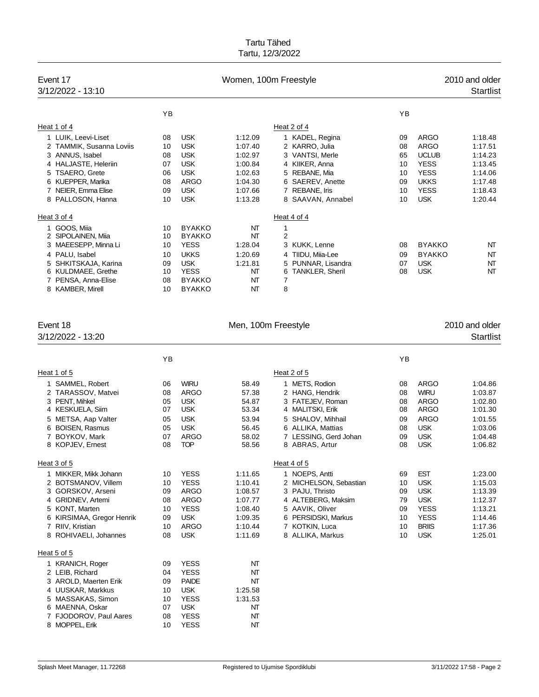|   | Event 17<br>3/12/2022 - 13:10 |    |               | Women, 100m Freestyle |                             |    |               | 2010 and older<br><b>Startlist</b> |
|---|-------------------------------|----|---------------|-----------------------|-----------------------------|----|---------------|------------------------------------|
|   |                               | YB |               |                       |                             | YB |               |                                    |
|   | Heat 1 of 4                   |    |               |                       | Heat 2 of 4                 |    |               |                                    |
|   | 1 LUIK, Leevi-Liset           | 08 | <b>USK</b>    | 1:12.09               | 1 KADEL, Regina             | 09 | ARGO          | 1:18.48                            |
|   | 2 TAMMIK, Susanna Loviis      | 10 | <b>USK</b>    | 1:07.40               | 2 KARRO, Julia              | 08 | <b>ARGO</b>   | 1:17.51                            |
|   | 3 ANNUS, Isabel               | 08 | <b>USK</b>    | 1:02.97               | 3 VANTSI, Merle             | 65 | <b>UCLUB</b>  | 1:14.23                            |
|   | 4 HALJASTE, Heleriin          | 07 | <b>USK</b>    | 1:00.84               | 4 KIIKER, Anna              | 10 | <b>YESS</b>   | 1:13.45                            |
| 5 | <b>TSAERO, Grete</b>          | 06 | <b>USK</b>    | 1:02.63               | 5 REBANE, Mia               | 10 | <b>YESS</b>   | 1:14.06                            |
|   | 6 KUEPPER, Marika             | 08 | ARGO          | 1:04.30               | 6 SAEREV, Anette            | 09 | <b>UKKS</b>   | 1:17.48                            |
|   | 7 NEIER, Emma Elise           | 09 | <b>USK</b>    | 1:07.66               | 7 REBANE, Iris              | 10 | <b>YESS</b>   | 1:18.43                            |
|   | 8 PALLOSON, Hanna             | 10 | <b>USK</b>    | 1:13.28               | 8 SAAVAN, Annabel           | 10 | <b>USK</b>    | 1:20.44                            |
|   | Heat 3 of 4                   |    |               |                       | Heat 4 of 4                 |    |               |                                    |
|   | 1 GOOS, Miia                  | 10 | <b>BYAKKO</b> | NΤ                    | 1                           |    |               |                                    |
|   | 2 SIPOLAINEN, Miia            | 10 | <b>BYAKKO</b> | NT                    | $\overline{2}$              |    |               |                                    |
| 3 | MAEESEPP, Minna Li            | 10 | <b>YESS</b>   | 1:28.04               | 3 KUKK, Lenne               | 08 | <b>BYAKKO</b> | NT                                 |
|   | 4 PALU, Isabel                | 10 | <b>UKKS</b>   | 1:20.69               | 4 TIIDU, Miia-Lee           | 09 | <b>BYAKKO</b> | NT                                 |
|   | SHKITSKAJA, Karina            | 09 | <b>USK</b>    | 1:21.81               | 5 PUNNAR, Lisandra          | 07 | <b>USK</b>    | NT                                 |
|   | 6 KULDMAEE, Grethe            | 10 | <b>YESS</b>   | NT                    | <b>TANKLER, Sheril</b><br>6 | 08 | <b>USK</b>    | NT                                 |
|   | 7 PENSA, Anna-Elise           | 08 | <b>BYAKKO</b> | NT                    | 7                           |    |               |                                    |
|   | 8 KAMBER, Mirell              | 10 | <b>BYAKKO</b> | NΤ                    | 8                           |    |               |                                    |

| Event 18                     |    |              | Men, 100m Freestyle |                        |    |              | 2010 and older   |
|------------------------------|----|--------------|---------------------|------------------------|----|--------------|------------------|
| 3/12/2022 - 13:20            |    |              |                     |                        |    |              | <b>Startlist</b> |
|                              | YB |              |                     |                        | YB |              |                  |
| Heat 1 of 5                  |    |              |                     | Heat 2 of 5            |    |              |                  |
| 1 SAMMEL, Robert             | 06 | <b>WIRU</b>  | 58.49               | 1 METS, Rodion         | 08 | <b>ARGO</b>  | 1:04.86          |
| 2 TARASSOV, Matvei           | 08 | <b>ARGO</b>  | 57.38               | 2 HANG, Hendrik        | 08 | <b>WIRU</b>  | 1:03.87          |
| 3 PENT. Mihkel               | 05 | <b>USK</b>   | 54.87               | 3 FATEJEV, Roman       | 08 | <b>ARGO</b>  | 1:02.80          |
| <b>KESKUELA, Siim</b><br>4   | 07 | <b>USK</b>   | 53.34               | 4 MALITSKI, Erik       | 08 | <b>ARGO</b>  | 1:01.30          |
| METSA, Aap Valter<br>5       | 05 | <b>USK</b>   | 53.94               | 5 SHALOV, Mihhail      | 09 | <b>ARGO</b>  | 1:01.55          |
| <b>BOISEN, Rasmus</b><br>6   | 05 | <b>USK</b>   | 56.45               | 6 ALLIKA, Mattias      | 08 | <b>USK</b>   | 1:03.06          |
| BOYKOV, Mark<br>7            | 07 | <b>ARGO</b>  | 58.02               | 7 LESSING, Gerd Johan  | 09 | <b>USK</b>   | 1:04.48          |
| 8 KOPJEV, Ernest             | 08 | <b>TOP</b>   | 58.56               | 8 ABRAS, Artur         | 08 | <b>USK</b>   | 1:06.82          |
| Heat 3 of 5                  |    |              |                     | Heat 4 of 5            |    |              |                  |
| 1 MIKKER, Mikk Johann        | 10 | <b>YESS</b>  | 1:11.65             | 1 NOEPS, Antti         | 69 | <b>EST</b>   | 1:23.00          |
| 2 BOTSMANOV, Villem          | 10 | <b>YESS</b>  | 1:10.41             | 2 MICHELSON, Sebastian | 10 | <b>USK</b>   | 1:15.03          |
| 3 GORSKOV, Arseni            | 09 | <b>ARGO</b>  | 1:08.57             | 3 PAJU. Thristo        | 09 | <b>USK</b>   | 1:13.39          |
| <b>GRIDNEV, Artemi</b><br>4  | 08 | <b>ARGO</b>  | 1:07.77             | 4 ALTEBERG, Maksim     | 79 | <b>USK</b>   | 1:12.37          |
| KONT, Marten<br>5            | 10 | <b>YESS</b>  | 1:08.40             | 5 AAVIK, Oliver        | 09 | <b>YESS</b>  | 1:13.21          |
| KIRSIMAA, Gregor Henrik<br>6 | 09 | <b>USK</b>   | 1:09.35             | 6 PERSIDSKI, Markus    | 10 | <b>YESS</b>  | 1:14.46          |
| 7 RIIV, Kristian             | 10 | <b>ARGO</b>  | 1:10.44             | 7 KOTKIN, Luca         | 10 | <b>BRIIS</b> | 1:17.36          |
| 8 ROHIVAELI, Johannes        | 08 | <b>USK</b>   | 1:11.69             | 8 ALLIKA, Markus       | 10 | <b>USK</b>   | 1:25.01          |
| Heat 5 of 5                  |    |              |                     |                        |    |              |                  |
| 1 KRANICH, Roger             | 09 | <b>YESS</b>  | NT                  |                        |    |              |                  |
| 2 LEIB, Richard              | 04 | <b>YESS</b>  | NT                  |                        |    |              |                  |
| 3 AROLD, Maerten Erik        | 09 | <b>PAIDE</b> | NT                  |                        |    |              |                  |
| 4 UUSKAR, Markkus            | 10 | <b>USK</b>   | 1:25.58             |                        |    |              |                  |
| 5 MASSAKAS, Simon            | 10 | <b>YESS</b>  | 1:31.53             |                        |    |              |                  |
| 6 MAENNA, Oskar              | 07 | <b>USK</b>   | NT                  |                        |    |              |                  |
| <b>FJODOROV, Paul Aares</b>  | 08 | <b>YESS</b>  | NT                  |                        |    |              |                  |
| 8 MOPPEL, Erik               | 10 | <b>YESS</b>  | NT                  |                        |    |              |                  |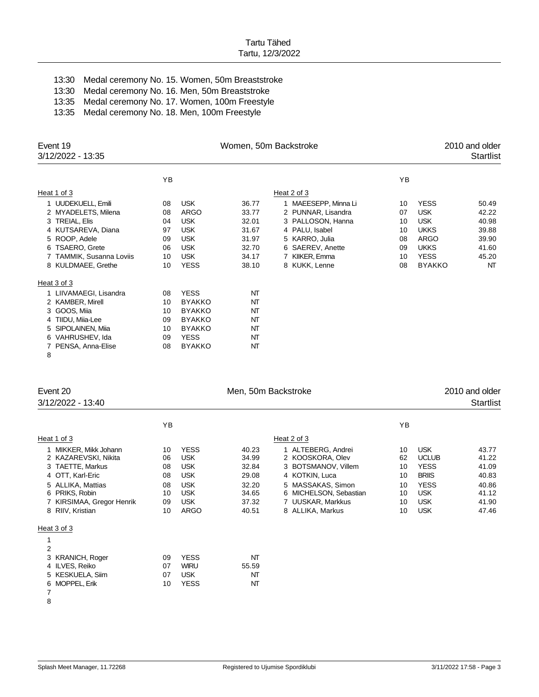| 13:30 Medal ceremony No. 15. Women, 50m Breaststroke |
|------------------------------------------------------|
| 13:30 Medal ceremony No. 16. Men, 50m Breaststroke   |
| 13:35 Medal ceremony No. 17. Women, 100m Freestyle   |
| 13:35 Medal ceremony No. 18. Men, 100m Freestyle     |

| Event 19<br>3/12/2022 - 13:35                                                                                                                                           |                                              |                                                                                                                 | Women, 50m Backstroke                                                |                                                                                                                                                            | 2010 and older<br><b>Startlist</b>           |                                                                                                               |                                                                   |
|-------------------------------------------------------------------------------------------------------------------------------------------------------------------------|----------------------------------------------|-----------------------------------------------------------------------------------------------------------------|----------------------------------------------------------------------|------------------------------------------------------------------------------------------------------------------------------------------------------------|----------------------------------------------|---------------------------------------------------------------------------------------------------------------|-------------------------------------------------------------------|
|                                                                                                                                                                         | YB                                           |                                                                                                                 |                                                                      |                                                                                                                                                            | YB                                           |                                                                                                               |                                                                   |
| Heat 1 of 3                                                                                                                                                             |                                              |                                                                                                                 |                                                                      | Heat 2 of 3                                                                                                                                                |                                              |                                                                                                               |                                                                   |
| 1 UUDEKUELL, Emili<br>2 MYADELETS, Milena<br>3 TREIAL, Elis<br>4 KUTSAREVA, Diana<br>5 ROOP, Adele<br>6 TSAERO, Grete<br>7 TAMMIK, Susanna Loviis<br>8 KULDMAEE, Grethe | 08<br>08<br>04<br>97<br>09<br>06<br>10<br>10 | <b>USK</b><br>ARGO<br><b>USK</b><br><b>USK</b><br><b>USK</b><br><b>USK</b><br><b>USK</b><br><b>YESS</b>         | 36.77<br>33.77<br>32.01<br>31.67<br>31.97<br>32.70<br>34.17<br>38.10 | 1 MAEESEPP, Minna Li<br>2 PUNNAR, Lisandra<br>3 PALLOSON, Hanna<br>4 PALU, Isabel<br>5 KARRO, Julia<br>6 SAEREV, Anette<br>7 KIIKER, Emma<br>8 KUKK, Lenne | 10<br>07<br>10<br>10<br>08<br>09<br>10<br>08 | <b>YESS</b><br><b>USK</b><br><b>USK</b><br><b>UKKS</b><br>ARGO<br><b>UKKS</b><br><b>YESS</b><br><b>BYAKKO</b> | 50.49<br>42.22<br>40.98<br>39.88<br>39.90<br>41.60<br>45.20<br>NT |
| Heat 3 of 3                                                                                                                                                             |                                              |                                                                                                                 |                                                                      |                                                                                                                                                            |                                              |                                                                                                               |                                                                   |
| 1 LIIVAMAEGI, Lisandra<br>2 KAMBER, Mirell<br>3 GOOS, Miia<br>4 TIIDU, Miia-Lee<br>SIPOLAINEN, Miia<br>5.<br>6 VAHRUSHEV, Ida<br>PENSA, Anna-Elise<br>7<br>8            | 08<br>10<br>10<br>09<br>10<br>09<br>08       | <b>YESS</b><br><b>BYAKKO</b><br><b>BYAKKO</b><br><b>BYAKKO</b><br><b>BYAKKO</b><br><b>YESS</b><br><b>BYAKKO</b> | NT<br>NT<br>NΤ<br>NΤ<br>NΤ<br>NΤ<br>NΤ                               |                                                                                                                                                            |                                              |                                                                                                               |                                                                   |

| Event 20<br>3/12/2022 - 13:40                                                                                                                                               |                                              |                                                                                                                | Men, 50m Backstroke                                                  |                                                                                                                                                                         |                                              |                                                                                                                    | 2010 and older<br><b>Startlist</b>                                   |
|-----------------------------------------------------------------------------------------------------------------------------------------------------------------------------|----------------------------------------------|----------------------------------------------------------------------------------------------------------------|----------------------------------------------------------------------|-------------------------------------------------------------------------------------------------------------------------------------------------------------------------|----------------------------------------------|--------------------------------------------------------------------------------------------------------------------|----------------------------------------------------------------------|
|                                                                                                                                                                             | ΥB                                           |                                                                                                                |                                                                      |                                                                                                                                                                         | YB                                           |                                                                                                                    |                                                                      |
| Heat 1 of 3                                                                                                                                                                 |                                              |                                                                                                                |                                                                      | Heat 2 of 3                                                                                                                                                             |                                              |                                                                                                                    |                                                                      |
| MIKKER, Mikk Johann<br>2 KAZAREVSKI, Nikita<br>3 TAETTE, Markus<br>4 OTT, Karl-Eric<br>5 ALLIKA, Mattias<br>6 PRIKS, Robin<br>7 KIRSIMAA, Gregor Henrik<br>8 RIIV, Kristian | 10<br>06<br>08<br>08<br>08<br>10<br>09<br>10 | <b>YESS</b><br><b>USK</b><br><b>USK</b><br><b>USK</b><br><b>USK</b><br><b>USK</b><br><b>USK</b><br><b>ARGO</b> | 40.23<br>34.99<br>32.84<br>29.08<br>32.20<br>34.65<br>37.32<br>40.51 | 1 ALTEBERG, Andrei<br>2 KOOSKORA, Olev<br>3 BOTSMANOV, Villem<br>4 KOTKIN, Luca<br>5 MASSAKAS, Simon<br>6 MICHELSON, Sebastian<br>7 UUSKAR, Markkus<br>8 ALLIKA, Markus | 10<br>62<br>10<br>10<br>10<br>10<br>10<br>10 | <b>USK</b><br><b>UCLUB</b><br><b>YESS</b><br><b>BRIIS</b><br><b>YESS</b><br><b>USK</b><br><b>USK</b><br><b>USK</b> | 43.77<br>41.22<br>41.09<br>40.83<br>40.86<br>41.12<br>41.90<br>47.46 |
| Heat 3 of 3                                                                                                                                                                 |                                              |                                                                                                                |                                                                      |                                                                                                                                                                         |                                              |                                                                                                                    |                                                                      |
| 2<br>3 KRANICH, Roger<br>4 ILVES, Reiko<br>5 KESKUELA, Siim<br>6 MOPPEL, Erik<br>7<br>8                                                                                     | 09<br>07<br>07<br>10                         | <b>YESS</b><br><b>WIRU</b><br><b>USK</b><br><b>YESS</b>                                                        | NΤ<br>55.59<br>NΤ<br>NΤ                                              |                                                                                                                                                                         |                                              |                                                                                                                    |                                                                      |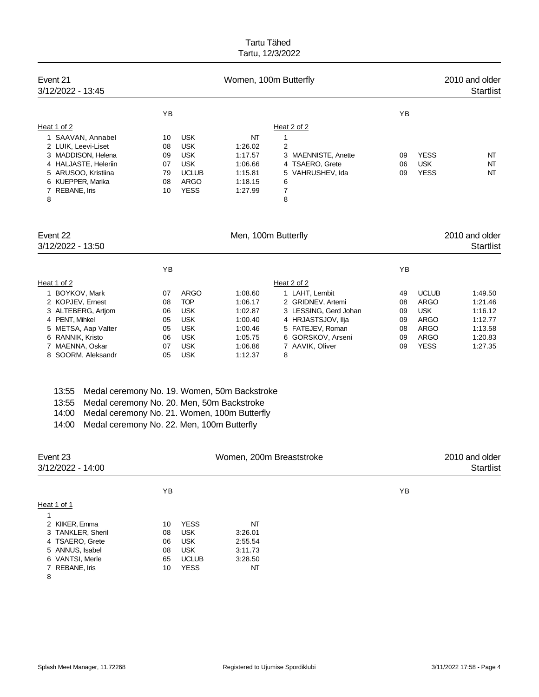| Event 21<br>3/12/2022 - 13:45                                                                                                                                                                                                |          | 2010 and older<br><b>Startlist</b> |                          |                                     |          |                             |                                    |
|------------------------------------------------------------------------------------------------------------------------------------------------------------------------------------------------------------------------------|----------|------------------------------------|--------------------------|-------------------------------------|----------|-----------------------------|------------------------------------|
|                                                                                                                                                                                                                              | YB       |                                    |                          |                                     | YB       |                             |                                    |
| Heat 1 of 2                                                                                                                                                                                                                  |          |                                    |                          | Heat 2 of 2                         |          |                             |                                    |
| 1 SAAVAN, Annabel                                                                                                                                                                                                            | 10       | <b>USK</b>                         | NT                       | 1                                   |          |                             |                                    |
| 2 LUIK, Leevi-Liset                                                                                                                                                                                                          | 08       | <b>USK</b>                         | 1:26.02                  | $\overline{2}$                      |          |                             |                                    |
| 3 MADDISON, Helena                                                                                                                                                                                                           | 09       | <b>USK</b>                         | 1:17.57                  | 3 MAENNISTE, Anette                 | 09       | <b>YESS</b>                 | NT                                 |
| 4 HALJASTE, Heleriin                                                                                                                                                                                                         | 07       | <b>USK</b>                         | 1:06.66                  | 4 TSAERO, Grete                     | 06       | <b>USK</b>                  | NT                                 |
| 5 ARUSOO, Kristiina<br>6 KUEPPER, Marika                                                                                                                                                                                     | 79<br>08 | <b>UCLUB</b><br><b>ARGO</b>        | 1:15.81<br>1:18.15       | 5 VAHRUSHEV, Ida<br>6               | 09       | <b>YESS</b>                 | NΤ                                 |
| 7 REBANE, Iris                                                                                                                                                                                                               | 10       | <b>YESS</b>                        | 1:27.99                  | 7                                   |          |                             |                                    |
| 8                                                                                                                                                                                                                            |          |                                    |                          | 8                                   |          |                             |                                    |
| Event 22                                                                                                                                                                                                                     |          |                                    |                          |                                     |          |                             |                                    |
| 3/12/2022 - 13:50                                                                                                                                                                                                            |          |                                    | Men, 100m Butterfly      |                                     |          |                             | 2010 and older<br><b>Startlist</b> |
|                                                                                                                                                                                                                              | YB       |                                    |                          |                                     | ΥB       |                             |                                    |
|                                                                                                                                                                                                                              |          |                                    |                          |                                     |          |                             |                                    |
| Heat 1 of 2                                                                                                                                                                                                                  |          |                                    |                          | Heat 2 of 2                         |          |                             |                                    |
| 1 BOYKOV, Mark<br>2 KOPJEV, Ernest                                                                                                                                                                                           | 07       | <b>ARGO</b><br><b>TOP</b>          | 1:08.60                  | 1 LAHT, Lembit<br>2 GRIDNEV, Artemi | 49       | <b>UCLUB</b><br><b>ARGO</b> | 1:49.50<br>1:21.46                 |
| 3 ALTEBERG, Artjom                                                                                                                                                                                                           | 08<br>06 | <b>USK</b>                         | 1:06.17<br>1:02.87       | 3 LESSING, Gerd Johan               | 08<br>09 | <b>USK</b>                  | 1:16.12                            |
| 4 PENT, Mihkel                                                                                                                                                                                                               | 05       | <b>USK</b>                         | 1:00.40                  | 4 HRJASTSJOV, Ilja                  | 09       | <b>ARGO</b>                 | 1:12.77                            |
| 5 METSA, Aap Valter                                                                                                                                                                                                          | 05       | <b>USK</b>                         | 1:00.46                  | 5 FATEJEV, Roman                    | 08       | <b>ARGO</b>                 | 1:13.58                            |
| 6 RANNIK, Kristo                                                                                                                                                                                                             | 06       | <b>USK</b>                         | 1:05.75                  | 6 GORSKOV, Arseni                   | 09       | <b>ARGO</b>                 | 1:20.83                            |
| 7 MAENNA, Oskar<br>8 SOORM, Aleksandr                                                                                                                                                                                        | 07<br>05 | <b>USK</b><br><b>USK</b>           | 1:06.86<br>1:12.37       | 7 AAVIK, Oliver<br>8                | 09       | <b>YESS</b>                 | 1:27.35                            |
| 13:55<br>Medal ceremony No. 19. Women, 50m Backstroke<br>Medal ceremony No. 20. Men, 50m Backstroke<br>13:55<br>14:00<br>Medal ceremony No. 21. Women, 100m Butterfly<br>Medal ceremony No. 22. Men, 100m Butterfly<br>14:00 |          |                                    |                          |                                     |          |                             |                                    |
| Event 23                                                                                                                                                                                                                     |          |                                    | Women, 200m Breaststroke |                                     |          |                             | 2010 and older                     |
| 3/12/2022 - 14:00                                                                                                                                                                                                            |          |                                    |                          |                                     |          |                             | <b>Startlist</b>                   |
|                                                                                                                                                                                                                              | ΥB       |                                    |                          |                                     | YB       |                             |                                    |
| Heat 1 of 1                                                                                                                                                                                                                  |          |                                    |                          |                                     |          |                             |                                    |
| 1                                                                                                                                                                                                                            |          |                                    |                          |                                     |          |                             |                                    |
| 2 KIIKER, Emma<br>3 TANKLER, Sheril                                                                                                                                                                                          | 10<br>08 | <b>YESS</b><br><b>USK</b>          | NT<br>3:26.01            |                                     |          |                             |                                    |
| 4 TSAERO, Grete                                                                                                                                                                                                              | 06       | <b>USK</b>                         | 2:55.54                  |                                     |          |                             |                                    |
| 5 ANNUS, Isabel                                                                                                                                                                                                              | 08       | <b>USK</b>                         | 3:11.73                  |                                     |          |                             |                                    |
| 6 VANTSI, Merle                                                                                                                                                                                                              | 65       | <b>UCLUB</b>                       | 3:28.50                  |                                     |          |                             |                                    |
| 7 REBANE, Iris<br>8                                                                                                                                                                                                          | 10       | <b>YESS</b>                        | NΤ                       |                                     |          |                             |                                    |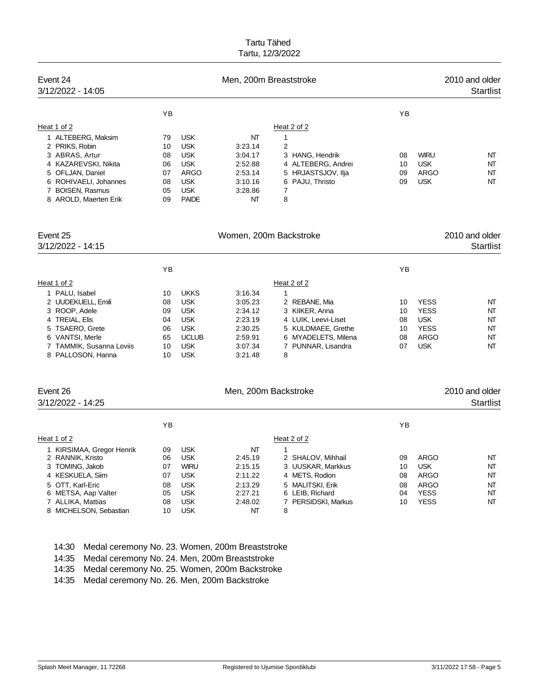| Event 24<br>3/12/2022 - 14:05                                                                                                                                            |                                              |                                                                                                          | Men, 200m Breaststroke                                                     |                                                                                                                            |                      |                                                        | 2010 and older<br><b>Startlist</b> |
|--------------------------------------------------------------------------------------------------------------------------------------------------------------------------|----------------------------------------------|----------------------------------------------------------------------------------------------------------|----------------------------------------------------------------------------|----------------------------------------------------------------------------------------------------------------------------|----------------------|--------------------------------------------------------|------------------------------------|
|                                                                                                                                                                          | YB                                           |                                                                                                          |                                                                            |                                                                                                                            | YB                   |                                                        |                                    |
| Heat 1 of 2                                                                                                                                                              |                                              |                                                                                                          |                                                                            | Heat 2 of 2                                                                                                                |                      |                                                        |                                    |
| 1 ALTEBERG, Maksim<br>2 PRIKS, Robin<br>3 ABRAS, Artur<br>4 KAZAREVSKI, Nikita<br>5 OFLJAN, Daniel<br>6 ROHIVAELI, Johannes<br>7 BOISEN, Rasmus<br>8 AROLD, Maerten Erik | 79<br>10<br>08<br>06<br>07<br>08<br>05<br>09 | <b>USK</b><br><b>USK</b><br><b>USK</b><br><b>USK</b><br>ARGO<br><b>USK</b><br><b>USK</b><br><b>PAIDE</b> | NΤ<br>3:23.14<br>3:04.17<br>2:52.88<br>2:53.14<br>3:10.16<br>3:28.86<br>NΤ | $\mathbf{1}$<br>$\overline{2}$<br>3 HANG, Hendrik<br>4 ALTEBERG, Andrei<br>5 HRJASTSJOV, Ilja<br>6 PAJU, Thristo<br>7<br>8 | 08<br>10<br>09<br>09 | <b>WIRU</b><br><b>USK</b><br><b>ARGO</b><br><b>USK</b> | NT<br>NT<br>NT<br>NT               |
| Event 25<br>3/12/2022 - 14:15                                                                                                                                            |                                              |                                                                                                          | Women, 200m Backstroke                                                     |                                                                                                                            |                      |                                                        | 2010 and older<br>Startlist        |
|                                                                                                                                                                          | YB                                           |                                                                                                          |                                                                            |                                                                                                                            | YB                   |                                                        |                                    |
| Heat 1 of 2                                                                                                                                                              |                                              |                                                                                                          |                                                                            | Heat 2 of 2                                                                                                                |                      |                                                        |                                    |
| 1 PALU, Isabel                                                                                                                                                           | 10                                           | <b>UKKS</b>                                                                                              | 3:16.34                                                                    | $\mathbf{1}$                                                                                                               |                      |                                                        |                                    |
| 2 UUDEKUELL, Emili                                                                                                                                                       | 08                                           | <b>USK</b>                                                                                               | 3:05.23                                                                    | 2 REBANE, Mia                                                                                                              | 10                   | <b>YESS</b>                                            | NT                                 |
| 3 ROOP, Adele                                                                                                                                                            | 09                                           | <b>USK</b>                                                                                               | 2:34.12                                                                    | 3 KIIKER, Anna                                                                                                             | 10                   | <b>YESS</b>                                            | NT                                 |
| 4 TREIAL, Elis                                                                                                                                                           | 04                                           | <b>USK</b>                                                                                               | 2:23.19                                                                    | 4 LUIK, Leevi-Liset                                                                                                        | 08                   | <b>USK</b>                                             | NT                                 |
| 5 TSAERO, Grete<br>6 VANTSI, Merle                                                                                                                                       | 06<br>65                                     | <b>USK</b><br><b>UCLUB</b>                                                                               | 2:30.25<br>2:59.91                                                         | 5 KULDMAEE, Grethe<br>6 MYADELETS, Milena                                                                                  | 10<br>08             | <b>YESS</b><br><b>ARGO</b>                             | NT<br>NT                           |
| 7 TAMMIK, Susanna Loviis                                                                                                                                                 | 10                                           | <b>USK</b>                                                                                               | 3:07.34                                                                    | 7 PUNNAR, Lisandra                                                                                                         | 07                   | <b>USK</b>                                             | NT                                 |
| 8 PALLOSON, Hanna                                                                                                                                                        | 10                                           | <b>USK</b>                                                                                               | 3:21.48                                                                    | 8                                                                                                                          |                      |                                                        |                                    |
| Event 26<br>3/12/2022 - 14:25                                                                                                                                            |                                              |                                                                                                          | Men, 200m Backstroke                                                       |                                                                                                                            |                      |                                                        | 2010 and older<br><b>Startlist</b> |
|                                                                                                                                                                          | YB                                           |                                                                                                          |                                                                            |                                                                                                                            | YB                   |                                                        |                                    |
| Heat 1 of 2                                                                                                                                                              |                                              |                                                                                                          |                                                                            | Heat 2 of 2                                                                                                                |                      |                                                        |                                    |
| 1 KIRSIMAA, Gregor Henrik                                                                                                                                                | 09                                           | <b>USK</b>                                                                                               | NΤ                                                                         | $\mathbf{1}$                                                                                                               |                      |                                                        |                                    |
| 2 RANNIK, Kristo                                                                                                                                                         | 06                                           | <b>USK</b>                                                                                               | 2:45.19                                                                    | 2 SHALOV, Mihhail                                                                                                          | 09                   | <b>ARGO</b>                                            | NT                                 |
| 3 TOMING, Jakob                                                                                                                                                          | 07                                           | <b>WIRU</b>                                                                                              | 2:15.15                                                                    | 3 UUSKAR, Markkus                                                                                                          | 10                   | <b>USK</b>                                             | NT                                 |
| 4 KESKUELA, Siim                                                                                                                                                         | 07                                           | <b>USK</b>                                                                                               | 2:11.22                                                                    | 4 METS, Rodion                                                                                                             | 08                   | <b>ARGO</b>                                            | NT                                 |
| 5 OTT, Karl-Eric                                                                                                                                                         | 08                                           | <b>USK</b><br><b>USK</b>                                                                                 | 2:13.29<br>2:27.21                                                         | 5 MALITSKI, Erik                                                                                                           | 08<br>04             | <b>ARGO</b><br><b>YESS</b>                             | NT<br>NT                           |
| 6 METSA, Aap Valter<br>7 ALLIKA, Mattias                                                                                                                                 | 05<br>08                                     | <b>USK</b>                                                                                               | 2:48.02                                                                    | 6 LEIB, Richard<br>7 PERSIDSKI, Markus                                                                                     | 10                   | <b>YESS</b>                                            | NT                                 |
| 8 MICHELSON, Sebastian                                                                                                                                                   | 10                                           | <b>USK</b>                                                                                               | NΤ                                                                         | 8                                                                                                                          |                      |                                                        |                                    |

14:30 Medal ceremony No. 23. Women, 200m Breaststroke

14:35 Medal ceremony No. 24. Men, 200m Breaststroke

14:35 Medal ceremony No. 25. Women, 200m Backstroke

14:35 Medal ceremony No. 26. Men, 200m Backstroke